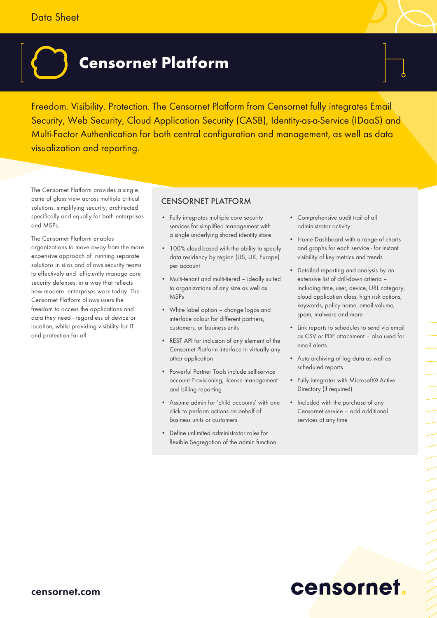### Data Sheet

# **Censornet Platform**

Freedom. Visibility. Protection. The Censornet Platform from Censornet fully integrates Email Security, Web Security, Cloud Application Security (CASB), Identity-as-a-Service (IDaaS) and Multi-Factor Authentication for both central configuration and management, as well as data visualization and reporting.

The Censornet Platform provides a single pane of glass view across multiple critical solutions, simplifying security, architected specifically and equally for both enterprises and MSPs.

The Censornet Platform enables organizations to move away from the more expensive approach of running separate solutions in silos and allows security teams to effectively and efficiently manage core security defenses, in a way that reflects how modern enterprises work today. The Censornet Platform allows users the freedom to access the applications and data they need - regardless of device or location, whilst providing visibility for IT and protection for all.

#### CENSORNET PLATFORM

- Fully integrates multiple core security services for simplified management with a single underlying shared identity store
- 100% cloud-based with the ability to specify data residency by region (US, UK, Europe) per account
- Multi-tenant and multi-tiered ideally suited to organizations of any size as well as MSPs
- White label option change logos and interface colour for different partners, customers, or business units
- REST API for inclusion of any element of the Censornet Platform interface in virtually any other application
- Powerful Partner Tools include self-service account Provisioning, license management and billing reporting
- Assume admin for 'child accounts' with one click to perform actions on behalf of business units or customers
- Define unlimited administrator roles for flexible Segregation of the admin function
- Comprehensive audit trail of all administrator activity
- Home Dashboard with a range of charts and graphs for each service - for instant visibility of key metrics and trends
- Detailed reporting and analysis by an extensive list of drill-down criteria – including time, user, device, URL category, cloud application class, high risk actions, keywords, policy name, email volume, spam, malware and more
- Link reports to schedules to send via email as CSV or PDF attachment – also used for email alerts
- Auto-archiving of log data as well as scheduled reports
- Fully integrates with Microsoft® Active Directory (if required)
- Included with the purchase of any Censornet service – add additional services at any time

# censornet.

ニー・コー フレーシン インフ

#### censornet.com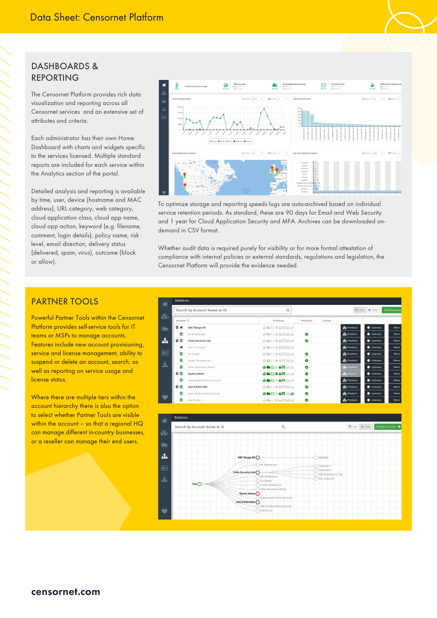#### DASHBOARDS & REPORTING

/////////

The Censornet Platform provides rich data visualization and reporting across all Censornet services and an extensive set of attributes and criteria.

Each administrator has their own Home Dashboard with charts and widgets specific to the services licensed. Multiple standard reports are included for each service within the Analytics section of the portal.

Detailed analysis and reporting is available by time, user, device (hostname and MAC address), URL category, web category, cloud application class, cloud app name, cloud app action, keyword (e.g. filename, comment, login details), policy name, risk level, email direction, delivery status (delivered, spam, virus), outcome (block or allow).



To optimize storage and reporting speeds logs are auto-archived based on individual service retention periods. As standard, these are 90 days for Email and Web Security and 1 year for Cloud Application Security and MFA. Archives can be downloaded ondemand in CSV format.

Whether audit data is required purely for visibility or for more formal attestation of compliance with internal policies or external standards, regulations and legislation, the Censornet Platform will provide the evidence needed.

#### PARTNER TOOLS

Powerful Partner Tools within the Censornet Platform provides self-service tools for IT teams or MSPs to manage accounts. Features include new account provisioning, service and license management, ability to suspend or delete an account, search, as well as reporting on service usage and license status.

Where there are multiple tiers within the account hierarchy there is also the option to select whether Partner Tools are visible within the account - so that a regional HQ can manage different in-country businesses, or a reseller can manage their end users.

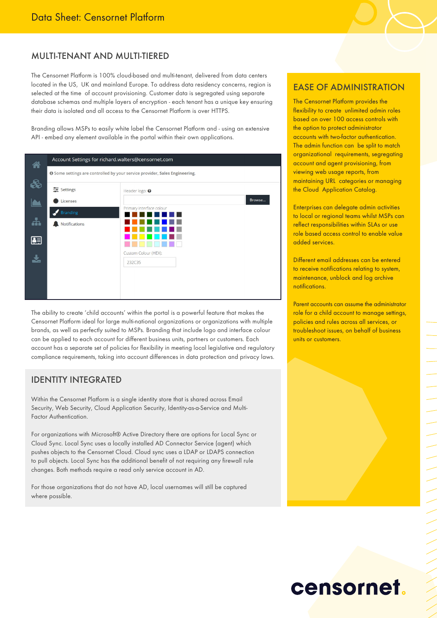#### MULTI-TENANT AND MULTI-TIERED

The Censornet Platform is 100% cloud-based and multi-tenant, delivered from data centers located in the US, UK and mainland Europe. To address data residency concerns, region is selected at the time of account provisioning. Customer data is segregated using separate database schemas and multiple layers of encryption - each tenant has a unique key ensuring their data is isolated and all access to the Censornet Platform is over HTTPS.

Branding allows MSPs to easily white label the Censornet Platform and - using an extensive API - embed any element available in the portal within their own applications.

| Â  | Account Settings for richard.walters@censornet.com |                                                                                    |
|----|----------------------------------------------------|------------------------------------------------------------------------------------|
|    |                                                    | <b>O</b> Some settings are controlled by your service provider, Sales Engineering. |
|    | 三 Settings                                         | Header logo: <sup>0</sup>                                                          |
|    | Licenses                                           | Browse                                                                             |
|    | <b>Branding</b>                                    | Primary interface colour                                                           |
| ÷  | Notifications                                      |                                                                                    |
| 연락 |                                                    |                                                                                    |
|    |                                                    | Custom Colour (HEX):                                                               |
|    |                                                    | 232C35                                                                             |
|    |                                                    |                                                                                    |
|    |                                                    |                                                                                    |
|    |                                                    |                                                                                    |

The ability to create 'child accounts' within the portal is a powerful feature that makes the Censornet Platform ideal for large multi-national organizations or organizations with multiple brands, as well as perfectly suited to MSPs. Branding that include logo and interface colour can be applied to each account for different business units, partners or customers. Each account has a separate set of policies for flexibility in meeting local legislative and regulatory compliance requirements, taking into account differences in data protection and privacy laws.

#### IDENTITY INTEGRATED

Within the Censornet Platform is a single identity store that is shared across Email Security, Web Security, Cloud Application Security, Identity-as-a-Service and Multi-Factor Authentication.

For organizations with Microsoft® Active Directory there are options for Local Sync or Cloud Sync. Local Sync uses a locally installed AD Connector Service (agent) which pushes objects to the Censornet Cloud. Cloud sync uses a LDAP or LDAPS connection to pull objects. Local Sync has the additional benefit of not requiring any firewall rule changes. Both methods require a read only service account in AD.

For those organizations that do not have AD, local usernames will still be captured where possible.

#### EASE OF ADMINISTRATION

The Censornet Platform provides the flexibility to create unlimited admin roles based on over 100 access controls with the option to protect administrator accounts with two-factor authentication. The admin function can be split to match organizational requirements, segregating account and agent provisioning, from viewing web usage reports, from maintaining URL categories or managing the Cloud Application Catalog.

Enterprises can delegate admin activities to local or regional teams whilst MSPs can reflect responsibilities within SLAs or use role based access control to enable value added services.

Different email addresses can be entered to receive notifications relating to system, maintenance, unblock and log archive notifications.

Parent accounts can assume the administrator role for a child account to manage settings, policies and rules across all services, or troubleshoot issues, on behalf of business units or customers.

## censornet.